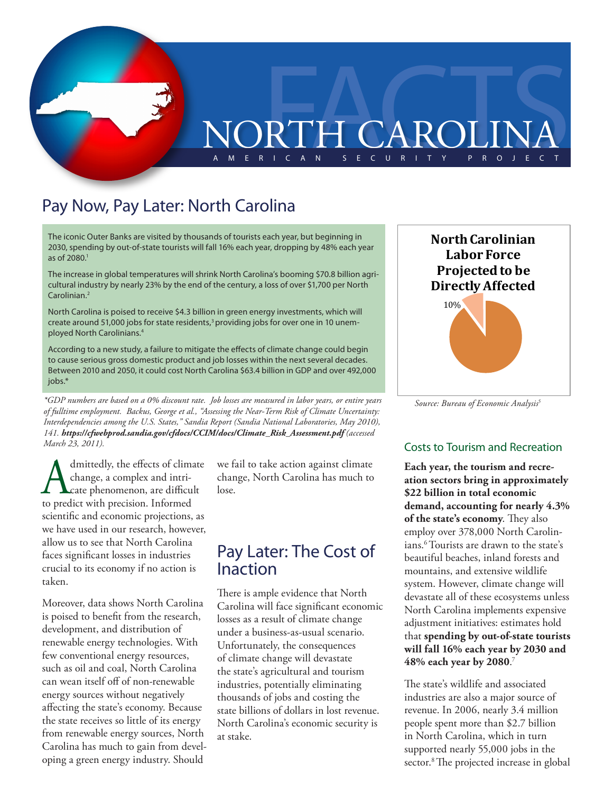

## Pay Now, Pay Later: North Carolina

The iconic Outer Banks are visited by thousands of tourists each year, but beginning in 2030, spending by out-of-state tourists will fall 16% each year, dropping by 48% each year as of 2080.1

The increase in global temperatures will shrink North Carolina's booming \$70.8 billion agricultural industry by nearly 23% by the end of the century, a loss of over \$1,700 per North Carolinian.2

North Carolina is poised to receive \$4.3 billion in green energy investments, which will create around 51,000 jobs for state residents, $3p$  providing jobs for over one in 10 unemployed North Carolinians.4

According to a new study, a failure to mitigate the effects of climate change could begin to cause serious gross domestic product and job losses within the next several decades. Between 2010 and 2050, it could cost North Carolina \$63.4 billion in GDP and over 492,000 jobs.\*

*Source: Bureau of Economic Analysis \*GDP numbers are based on a 0% discount rate. Job losses are measured in labor years, or entire years 5 of fulltime employment. Backus, George et al., "Assessing the Near-Term Risk of Climate Uncertainty: Interdependencies among the U.S. States," Sandia Report (Sandia National Laboratories, May 2010), 141. https://cfwebprod.sandia.gov/cfdocs/CCIM/docs/Climate\_Risk\_Assessment.pdf (accessed March 23, 2011).*

A dmittedly, the effects of climate<br>change, a complex and intri-<br>to predict with precision. Informed change, a complex and intricate phenomenon, are difficult to predict with precision. Informed scientific and economic projections, as we have used in our research, however, allow us to see that North Carolina faces significant losses in industries crucial to its economy if no action is taken.

Moreover, data shows North Carolina is poised to benefit from the research, development, and distribution of renewable energy technologies. With few conventional energy resources, such as oil and coal, North Carolina can wean itself off of non-renewable energy sources without negatively affecting the state's economy. Because the state receives so little of its energy from renewable energy sources, North Carolina has much to gain from developing a green energy industry. Should

we fail to take action against climate change, North Carolina has much to lose.

## Pay Later: The Cost of Inaction

There is ample evidence that North Carolina will face significant economic losses as a result of climate change under a business-as-usual scenario. Unfortunately, the consequences of climate change will devastate the state's agricultural and tourism industries, potentially eliminating thousands of jobs and costing the state billions of dollars in lost revenue. North Carolina's economic security is at stake.



#### Costs to Tourism and Recreation

**Each year, the tourism and recreation sectors bring in approximately \$22 billion in total economic demand, accounting for nearly 4.3% of the state's economy**. They also employ over 378,000 North Carolinians.6 Tourists are drawn to the state's beautiful beaches, inland forests and mountains, and extensive wildlife system. However, climate change will devastate all of these ecosystems unless North Carolina implements expensive adjustment initiatives: estimates hold that **spending by out-of-state tourists will fall 16% each year by 2030 and 48% each year by 2080**. 7

The state's wildlife and associated industries are also a major source of revenue. In 2006, nearly 3.4 million people spent more than \$2.7 billion in North Carolina, which in turn supported nearly 55,000 jobs in the sector.<sup>8</sup> The projected increase in global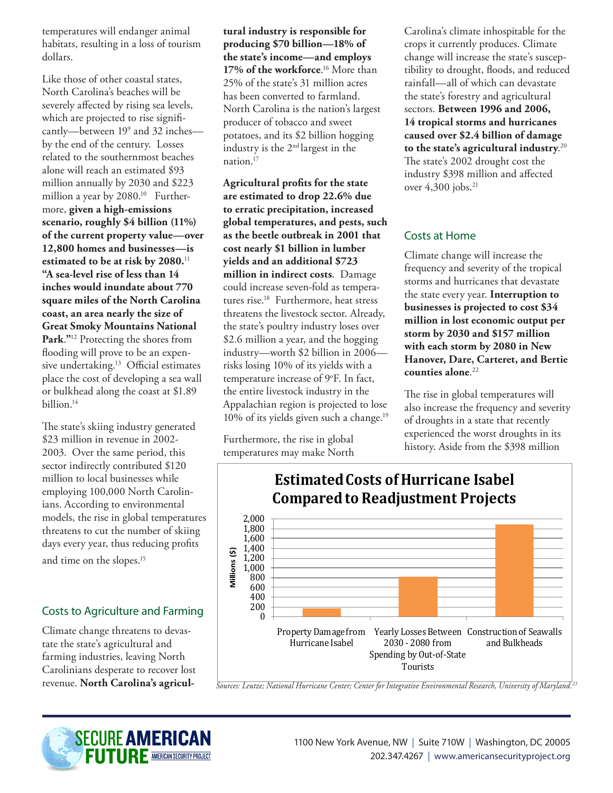temperatures will endanger animal habitats, resulting in a loss of tourism dollars.

Like those of other coastal states, North Carolina's beaches will be severely affected by rising sea levels, which are projected to rise significantly—between 199 and 32 inches by the end of the century. Losses related to the southernmost beaches alone will reach an estimated \$93 million annually by 2030 and \$223 million a year by 2080.<sup>10</sup> Furthermore, **given a high-emissions scenario, roughly \$4 billion (11%) of the current property value—over 12,800 homes and businesses—is estimated to be at risk by 2080.**<sup>11</sup> **"A sea-level rise of less than 14 inches would inundate about 770 square miles of the North Carolina coast, an area nearly the size of Great Smoky Mountains National Park**.**"**12 Protecting the shores from flooding will prove to be an expensive undertaking.13 Official estimates place the cost of developing a sea wall or bulkhead along the coast at \$1.89 billion.14

The state's skiing industry generated \$23 million in revenue in 2002- 2003. Over the same period, this sector indirectly contributed \$120 million to local businesses while employing 100,000 North Carolinians. According to environmental models, the rise in global temperatures threatens to cut the number of skiing days every year, thus reducing profits

and time on the slopes.15

### Costs to Agriculture and Farming

Climate change threatens to devastate the state's agricultural and farming industries, leaving North Carolinians desperate to recover lost revenue. **North Carolina's agricul-** **tural industry is responsible for producing \$70 billion—18% of the state's income—and employs 17% of the workforce**. 16 More than 25% of the state's 31 million acres has been converted to farmland. North Carolina is the nation's largest producer of tobacco and sweet potatoes, and its \$2 billion hogging industry is the 2nd largest in the nation.17

**Agricultural profits for the state are estimated to drop 22.6% due to erratic precipitation, increased global temperatures, and pests, such as the beetle outbreak in 2001 that cost nearly \$1 billion in lumber yields and an additional \$723 million in indirect costs**. Damage could increase seven-fold as temperatures rise.18 Furthermore, heat stress threatens the livestock sector. Already, the state's poultry industry loses over \$2.6 million a year, and the hogging industry—worth \$2 billion in 2006 risks losing 10% of its yields with a temperature increase of 9°F. In fact, the entire livestock industry in the Appalachian region is projected to lose 10% of its yields given such a change.<sup>19</sup>

Furthermore, the rise in global temperatures may make North Carolina's climate inhospitable for the crops it currently produces. Climate change will increase the state's susceptibility to drought, floods, and reduced rainfall—all of which can devastate the state's forestry and agricultural sectors. **Between 1996 and 2006, 14 tropical storms and hurricanes caused over \$2.4 billion of damage to the state's agricultural industry**. 20 The state's 2002 drought cost the industry \$398 million and affected over 4,300 jobs.<sup>21</sup>

#### Costs at Home

Climate change will increase the frequency and severity of the tropical storms and hurricanes that devastate the state every year. **Interruption to businesses is projected to cost \$34 million in lost economic output per storm by 2030 and \$157 million with each storm by 2080 in New Hanover, Dare, Carteret, and Bertie counties alone**. 22

The rise in global temperatures will also increase the frequency and severity of droughts in a state that recently experienced the worst droughts in its history. Aside from the \$398 million



**Estimated Costs of Hurricane Isabel Compared to Readjustment Projects**

*Sources: Leutze; National Hurricane Center; Center for Integrative Environmental Research, University of Maryland.23*

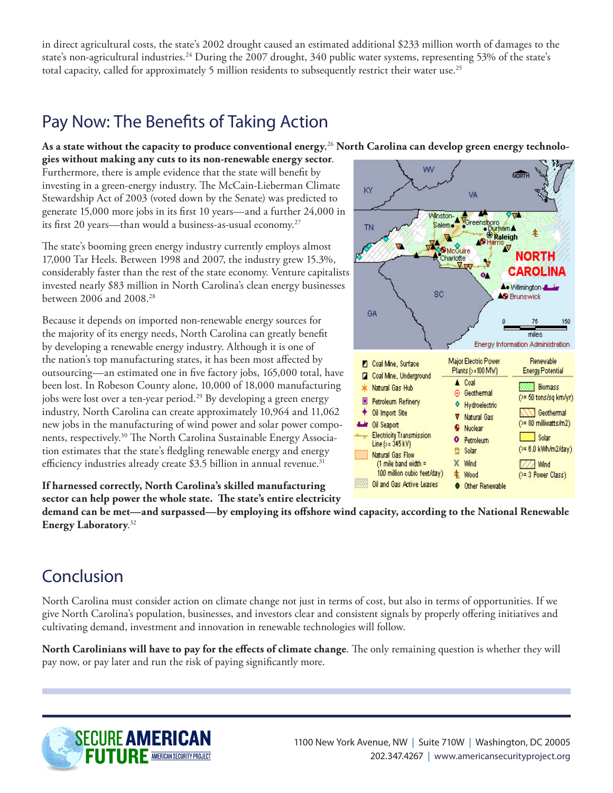in direct agricultural costs, the state's 2002 drought caused an estimated additional \$233 million worth of damages to the state's non-agricultural industries.<sup>24</sup> During the 2007 drought, 340 public water systems, representing 53% of the state's total capacity, called for approximately 5 million residents to subsequently restrict their water use.<sup>25</sup>

## Pay Now: The Benefits of Taking Action

**As a state without the capacity to produce conventional energy**, 26 **North Carolina can develop green energy technolo-**

**gies without making any cuts to its non-renewable energy sector**. Furthermore, there is ample evidence that the state will benefit by investing in a green-energy industry. The McCain-Lieberman Climate Stewardship Act of 2003 (voted down by the Senate) was predicted to generate 15,000 more jobs in its first 10 years—and a further 24,000 in its first 20 years—than would a business-as-usual economy.27

The state's booming green energy industry currently employs almost 17,000 Tar Heels. Between 1998 and 2007, the industry grew 15.3%, considerably faster than the rest of the state economy. Venture capitalists invested nearly \$83 million in North Carolina's clean energy businesses between 2006 and 2008.28

Because it depends on imported non-renewable energy sources for the majority of its energy needs, North Carolina can greatly benefit by developing a renewable energy industry. Although it is one of the nation's top manufacturing states, it has been most affected by outsourcing—an estimated one in five factory jobs, 165,000 total, have been lost. In Robeson County alone, 10,000 of 18,000 manufacturing jobs were lost over a ten-year period.<sup>29</sup> By developing a green energy industry, North Carolina can create approximately 10,964 and 11,062 new jobs in the manufacturing of wind power and solar power components, respectively.<sup>30</sup> The North Carolina Sustainable Energy Association estimates that the state's fledgling renewable energy and energy efficiency industries already create \$3.5 billion in annual revenue.<sup>31</sup>

**If harnessed correctly, North Carolina's skilled manufacturing** 

**sector can help power the whole state. The state's entire electricity** 

**demand can be met—and surpassed—by employing its offshore wind capacity, according to the National Renewable Energy Laboratory**. 32

# Conclusion

North Carolina must consider action on climate change not just in terms of cost, but also in terms of opportunities. If we give North Carolina's population, businesses, and investors clear and consistent signals by properly offering initiatives and cultivating demand, investment and innovation in renewable technologies will follow.

**North Carolinians will have to pay for the effects of climate change**. The only remaining question is whether they will pay now, or pay later and run the risk of paying significantly more.



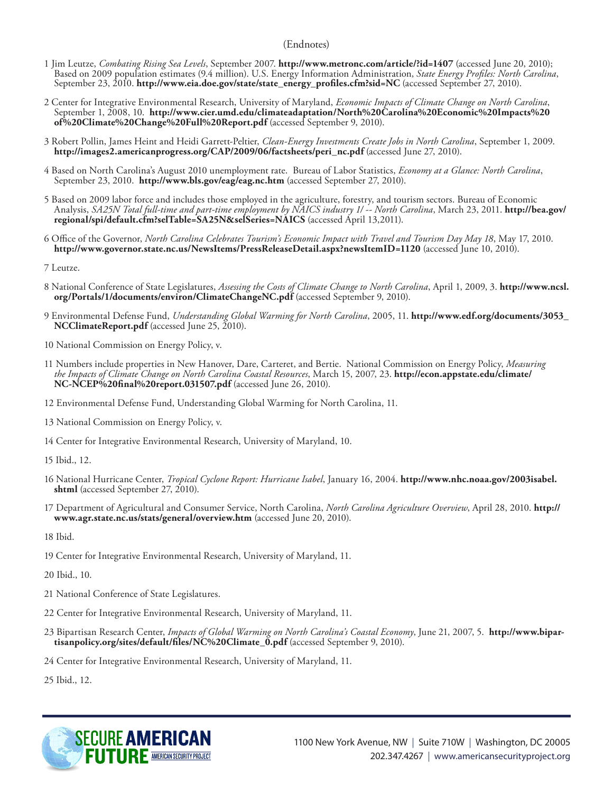#### (Endnotes)

- 1 Jim Leutze, *Combating Rising Sea Levels*, September 2007. **http://www.metronc.com/article/?id=1407** (accessed June 20, 2010); Based on 2009 population estimates (9.4 million). U.S. Energy Information Administration, *State Energy Profiles: North Carolina*, September 23, 2010. **http://www.eia.doe.gov/state/state\_energy\_profiles.cfm?sid=NC** (accessed September 27, 2010).
- 2 Center for Integrative Environmental Research, University of Maryland, *Economic Impacts of Climate Change on North Carolina*, September 1, 2008, 10. **http://www.cier.umd.edu/climateadaptation/North%20Carolina%20Economic%20Impacts%20 of%20Climate%20Change%20Full%20Report.pdf** (accessed September 9, 2010).
- 3 Robert Pollin, James Heint and Heidi Garrett-Peltier, *Clean-Energy Investments Create Jobs in North Carolina*, September 1, 2009. **http://images2.americanprogress.org/CAP/2009/06/factsheets/peri\_nc.pdf** (accessed June 27, 2010).
- 4 Based on North Carolina's August 2010 unemployment rate. Bureau of Labor Statistics, *Economy at a Glance: North Carolina*, September 23, 2010. **http://www.bls.gov/eag/eag.nc.htm** (accessed September 27, 2010).
- 5 Based on 2009 labor force and includes those employed in the agriculture, forestry, and tourism sectors. Bureau of Economic Analysis, *SA25N Total full-time and part-time employment by NAICS industry 1/ -- North Carolina*, March 23, 2011. **http://bea.gov/ regional/spi/default.cfm?selTable=SA25N&selSeries=NAICS** (accessed April 13,2011).
- 6 Office of the Governor, *North Carolina Celebrates Tourism's Economic Impact with Travel and Tourism Day May 18*, May 17, 2010. **http://www.governor.state.nc.us/NewsItems/PressReleaseDetail.aspx?newsItemID=1120** (accessed June 10, 2010).
- 7 Leutze.
- 8 National Conference of State Legislatures, *Assessing the Costs of Climate Change to North Carolina*, April 1, 2009, 3. **http://www.ncsl. org/Portals/1/documents/environ/ClimateChangeNC.pdf** (accessed September 9, 2010).
- 9 Environmental Defense Fund, *Understanding Global Warming for North Carolina*, 2005, 11. **http://www.edf.org/documents/3053\_ NCClimateReport.pdf** (accessed June 25, 2010).
- 10 National Commission on Energy Policy, v.
- 11 Numbers include properties in New Hanover, Dare, Carteret, and Bertie. National Commission on Energy Policy, *Measuring the Impacts of Climate Change on North Carolina Coastal Resources*, March 15, 2007, 23. **http://econ.appstate.edu/climate/ NC-NCEP%20final%20report.031507.pdf** (accessed June 26, 2010).
- 12 Environmental Defense Fund, Understanding Global Warming for North Carolina, 11.
- 13 National Commission on Energy Policy, v.
- 14 Center for Integrative Environmental Research, University of Maryland, 10.
- 15 Ibid., 12.
- 16 National Hurricane Center, *Tropical Cyclone Report: Hurricane Isabel*, January 16, 2004. **http://www.nhc.noaa.gov/2003isabel. shtml** (accessed September 27, 2010).
- 17 Department of Agricultural and Consumer Service, North Carolina, *North Carolina Agriculture Overview*, April 28, 2010. **http:// www.agr.state.nc.us/stats/general/overview.htm** (accessed June 20, 2010).

18 Ibid.

- 19 Center for Integrative Environmental Research, University of Maryland, 11.
- 20 Ibid., 10.
- 21 National Conference of State Legislatures.
- 22 Center for Integrative Environmental Research, University of Maryland, 11.
- 23 Bipartisan Research Center, *Impacts of Global Warming on North Carolina's Coastal Economy*, June 21, 2007, 5. **http://www.bipartisanpolicy.org/sites/default/files/NC%20Climate\_0.pdf** (accessed September 9, 2010).

24 Center for Integrative Environmental Research, University of Maryland, 11.

25 Ibid., 12.